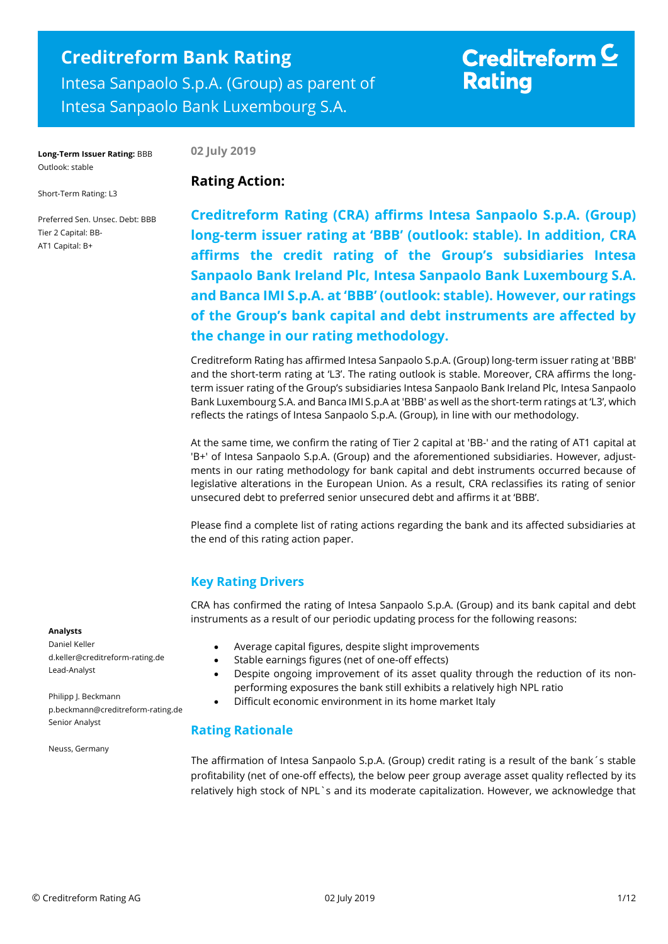# **Creditreform Bank Rating** Intesa Sanpaolo S.p.A. (Group) as parent of Intesa Sanpaolo Bank Luxembourg S.A.

# Creditreform  $\mathsf{\underline{\mathsf{C}}}$ **Rating**

**Long-Term Issuer Rating:** BBB Outlook: stable

**02 July 2019**

Short-Term Rating: L3

Preferred Sen. Unsec. Debt: BBB Tier 2 Capital: BB-AT1 Capital: B+

# **Rating Action:**

**Creditreform Rating (CRA) affirms Intesa Sanpaolo S.p.A. (Group) long-term issuer rating at 'BBB' (outlook: stable). In addition, CRA affirms the credit rating of the Group's subsidiaries Intesa Sanpaolo Bank Ireland Plc, Intesa Sanpaolo Bank Luxembourg S.A. and Banca IMI S.p.A. at 'BBB' (outlook: stable). However, our ratings of the Group's bank capital and debt instruments are affected by the change in our rating methodology.**

Creditreform Rating has affirmed Intesa Sanpaolo S.p.A. (Group) long-term issuer rating at 'BBB' and the short-term rating at 'L3'. The rating outlook is stable. Moreover, CRA affirms the longterm issuer rating of the Group's subsidiaries Intesa Sanpaolo Bank Ireland Plc, Intesa Sanpaolo Bank Luxembourg S.A. and Banca IMI S.p.A at 'BBB' as well as the short-term ratings at 'L3', which reflects the ratings of Intesa Sanpaolo S.p.A. (Group), in line with our methodology.

At the same time, we confirm the rating of Tier 2 capital at 'BB-' and the rating of AT1 capital at 'B+' of Intesa Sanpaolo S.p.A. (Group) and the aforementioned subsidiaries. However, adjustments in our rating methodology for bank capital and debt instruments occurred because of legislative alterations in the European Union. As a result, CRA reclassifies its rating of senior unsecured debt to preferred senior unsecured debt and affirms it at 'BBB'.

Please find a complete list of rating actions regarding the bank and its affected subsidiaries at the end of this rating action paper.

# **Key Rating Drivers**

CRA has confirmed the rating of Intesa Sanpaolo S.p.A. (Group) and its bank capital and debt instruments as a result of our periodic updating process for the following reasons:

### **Analysts**

Daniel Keller d.keller@creditreform-rating.de Lead-Analyst

Philipp J. Beckmann p.beckmann@creditreform-rating.de Senior Analyst

Neuss, Germany

- Average capital figures, despite slight improvements
- Stable earnings figures (net of one-off effects)
- Despite ongoing improvement of its asset quality through the reduction of its nonperforming exposures the bank still exhibits a relatively high NPL ratio
- Difficult economic environment in its home market Italy

## **Rating Rationale**

The affirmation of Intesa Sanpaolo S.p.A. (Group) credit rating is a result of the bank´s stable profitability (net of one-off effects), the below peer group average asset quality reflected by its relatively high stock of NPL`s and its moderate capitalization. However, we acknowledge that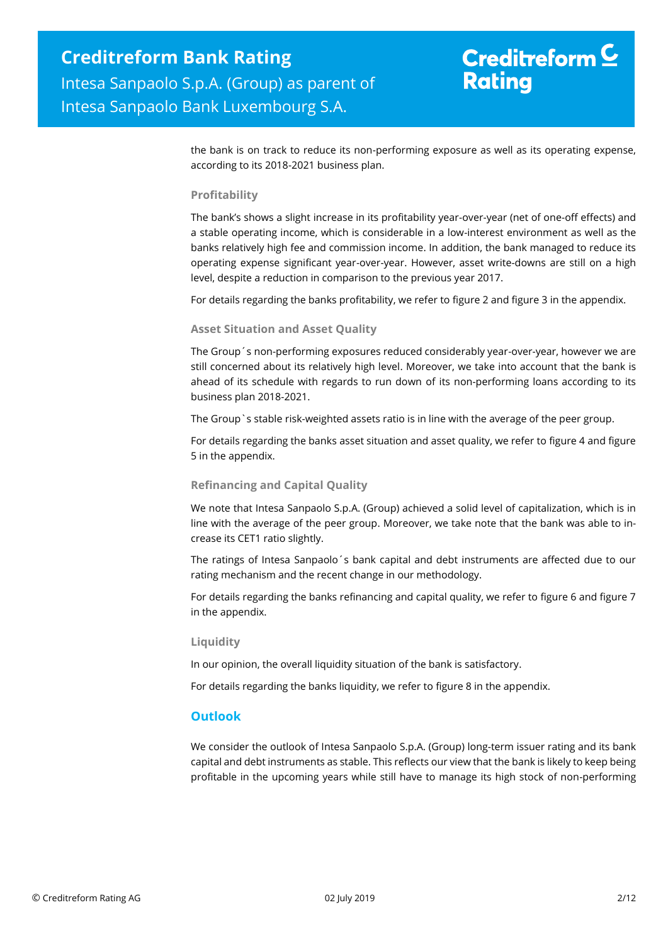the bank is on track to reduce its non-performing exposure as well as its operating expense, according to its 2018-2021 business plan.

## **Profitability**

The bank's shows a slight increase in its profitability year-over-year (net of one-off effects) and a stable operating income, which is considerable in a low-interest environment as well as the banks relatively high fee and commission income. In addition, the bank managed to reduce its operating expense significant year-over-year. However, asset write-downs are still on a high level, despite a reduction in comparison to the previous year 2017.

For details regarding the banks profitability, we refer to figure 2 and figure 3 in the appendix.

### **Asset Situation and Asset Quality**

The Group´s non-performing exposures reduced considerably year-over-year, however we are still concerned about its relatively high level. Moreover, we take into account that the bank is ahead of its schedule with regards to run down of its non-performing loans according to its business plan 2018-2021.

The Group `s stable risk-weighted assets ratio is in line with the average of the peer group.

For details regarding the banks asset situation and asset quality, we refer to figure 4 and figure 5 in the appendix.

## **Refinancing and Capital Quality**

We note that Intesa Sanpaolo S.p.A. (Group) achieved a solid level of capitalization, which is in line with the average of the peer group. Moreover, we take note that the bank was able to increase its CET1 ratio slightly.

The ratings of Intesa Sanpaolo´s bank capital and debt instruments are affected due to our rating mechanism and the recent change in our methodology.

For details regarding the banks refinancing and capital quality, we refer to figure 6 and figure 7 in the appendix.

### **Liquidity**

In our opinion, the overall liquidity situation of the bank is satisfactory.

For details regarding the banks liquidity, we refer to figure 8 in the appendix.

## **Outlook**

We consider the outlook of Intesa Sanpaolo S.p.A. (Group) long-term issuer rating and its bank capital and debt instruments as stable. This reflects our view that the bank is likely to keep being profitable in the upcoming years while still have to manage its high stock of non-performing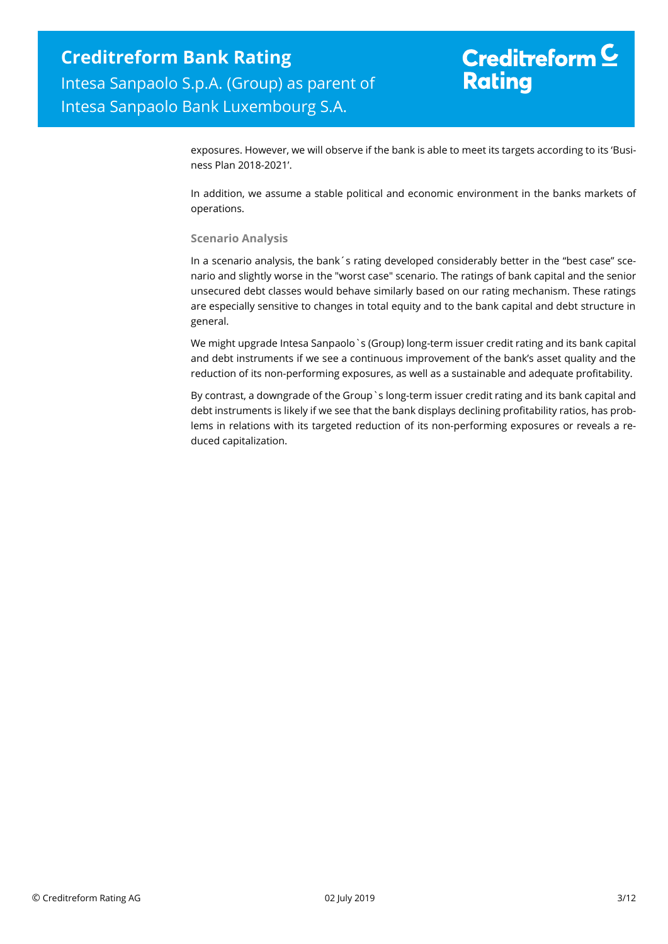exposures. However, we will observe if the bank is able to meet its targets according to its 'Business Plan 2018-2021'.

In addition, we assume a stable political and economic environment in the banks markets of operations.

## **Scenario Analysis**

In a scenario analysis, the bank's rating developed considerably better in the "best case" scenario and slightly worse in the "worst case" scenario. The ratings of bank capital and the senior unsecured debt classes would behave similarly based on our rating mechanism. These ratings are especially sensitive to changes in total equity and to the bank capital and debt structure in general.

We might upgrade Intesa Sanpaolo`s (Group) long-term issuer credit rating and its bank capital and debt instruments if we see a continuous improvement of the bank's asset quality and the reduction of its non-performing exposures, as well as a sustainable and adequate profitability.

By contrast, a downgrade of the Group`s long-term issuer credit rating and its bank capital and debt instruments is likely if we see that the bank displays declining profitability ratios, has problems in relations with its targeted reduction of its non-performing exposures or reveals a reduced capitalization.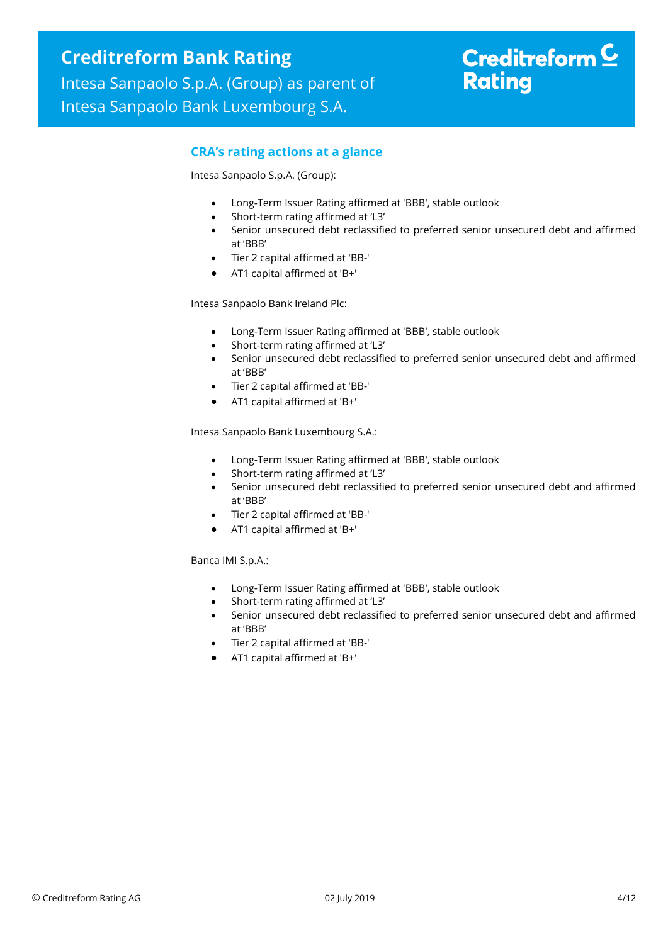# **CRA's rating actions at a glance**

Intesa Sanpaolo S.p.A. (Group):

- Long-Term Issuer Rating affirmed at 'BBB', stable outlook
- Short-term rating affirmed at 'L3'
- Senior unsecured debt reclassified to preferred senior unsecured debt and affirmed at 'BBB'
- Tier 2 capital affirmed at 'BB-'
- AT1 capital affirmed at 'B+'

Intesa Sanpaolo Bank Ireland Plc:

- Long-Term Issuer Rating affirmed at 'BBB', stable outlook
- Short-term rating affirmed at 'L3'
- Senior unsecured debt reclassified to preferred senior unsecured debt and affirmed at 'BBB'
- Tier 2 capital affirmed at 'BB-'
- AT1 capital affirmed at 'B+'

Intesa Sanpaolo Bank Luxembourg S.A.:

- Long-Term Issuer Rating affirmed at 'BBB', stable outlook
- Short-term rating affirmed at 'L3'
- Senior unsecured debt reclassified to preferred senior unsecured debt and affirmed at 'BBB'
- Tier 2 capital affirmed at 'BB-'
- AT1 capital affirmed at 'B+'

Banca IMI S.p.A.:

- Long-Term Issuer Rating affirmed at 'BBB', stable outlook
- Short-term rating affirmed at 'L3'
- Senior unsecured debt reclassified to preferred senior unsecured debt and affirmed at 'BBB'
- Tier 2 capital affirmed at 'BB-'
- AT1 capital affirmed at 'B+'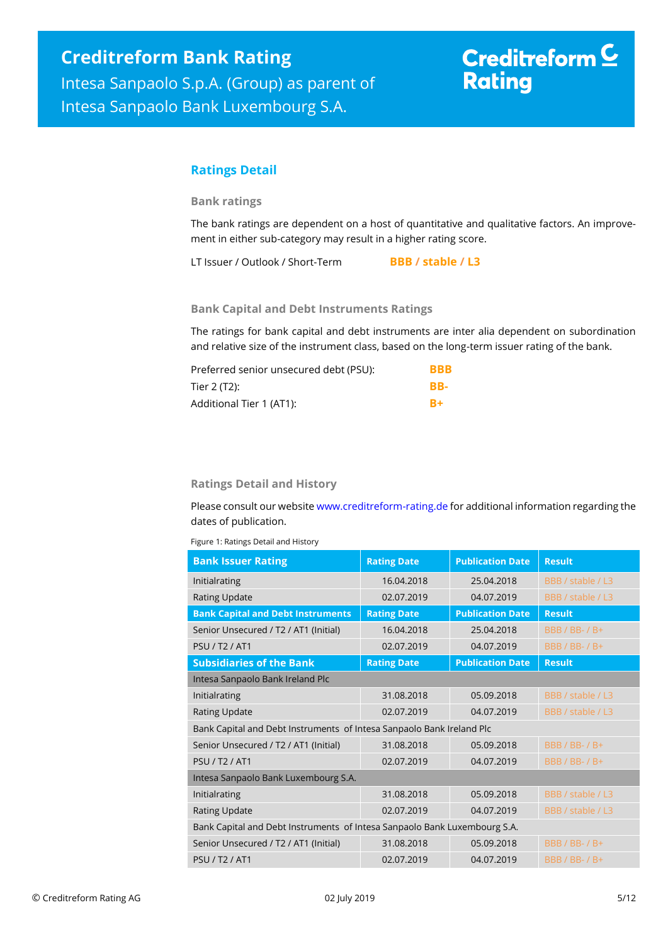# **Ratings Detail**

**Bank ratings**

The bank ratings are dependent on a host of quantitative and qualitative factors. An improvement in either sub-category may result in a higher rating score.

LT Issuer / Outlook / Short-Term **BBB / stable / L3**

## **Bank Capital and Debt Instruments Ratings**

The ratings for bank capital and debt instruments are inter alia dependent on subordination and relative size of the instrument class, based on the long-term issuer rating of the bank.

| Preferred senior unsecured debt (PSU): | <b>BBB</b> |
|----------------------------------------|------------|
| Tier 2 (T2):                           | RR-        |
| Additional Tier 1 (AT1):               | $R+$       |

## **Ratings Detail and History**

Please consult our websit[e www.creditreform-rating.de](http://www.creditreform-rating.de/) for additional information regarding the dates of publication.

Figure 1: Ratings Detail and History

| <b>Bank Issuer Rating</b>                                                 | <b>Rating Date</b> | <b>Publication Date</b> | <b>Result</b>         |
|---------------------------------------------------------------------------|--------------------|-------------------------|-----------------------|
| Initialrating                                                             | 16.04.2018         | 25.04.2018              | BBB / stable / L3     |
| <b>Rating Update</b>                                                      | 02.07.2019         | 04.07.2019              | BBB / stable / L3     |
| <b>Bank Capital and Debt Instruments</b>                                  | <b>Rating Date</b> | <b>Publication Date</b> | <b>Result</b>         |
| Senior Unsecured / T2 / AT1 (Initial)                                     | 16.04.2018         | 25.04.2018              | <b>BBB / BB- / B+</b> |
| <b>PSU / T2 / AT1</b>                                                     | 02.07.2019         | 04.07.2019              | <b>BBB / BB- / B+</b> |
| <b>Subsidiaries of the Bank</b>                                           | <b>Rating Date</b> | <b>Publication Date</b> | <b>Result</b>         |
| Intesa Sanpaolo Bank Ireland Plc                                          |                    |                         |                       |
| Initialrating                                                             | 31.08.2018         | 05.09.2018              | BBB / stable / L3     |
| <b>Rating Update</b>                                                      | 02.07.2019         | 04.07.2019              | BBB / stable / L3     |
| Bank Capital and Debt Instruments of Intesa Sanpaolo Bank Ireland Plc     |                    |                         |                       |
| Senior Unsecured / T2 / AT1 (Initial)                                     | 31.08.2018         | 05.09.2018              | <b>BBB / BB- / B+</b> |
| <b>PSU / T2 / AT1</b>                                                     | 02.07.2019         | 04.07.2019              | <b>BBB / BB- / B+</b> |
| Intesa Sanpaolo Bank Luxembourg S.A.                                      |                    |                         |                       |
| Initialrating                                                             | 31.08.2018         | 05.09.2018              | BBB / stable / L3     |
| Rating Update                                                             | 02.07.2019         | 04.07.2019              | BBB / stable / L3     |
| Bank Capital and Debt Instruments of Intesa Sanpaolo Bank Luxembourg S.A. |                    |                         |                       |
| Senior Unsecured / T2 / AT1 (Initial)                                     | 31.08.2018         | 05.09.2018              | <b>BBB / BB- / B+</b> |
| <b>PSU / T2 / AT1</b>                                                     | 02.07.2019         | 04.07.2019              | <b>BBB / BB- / B+</b> |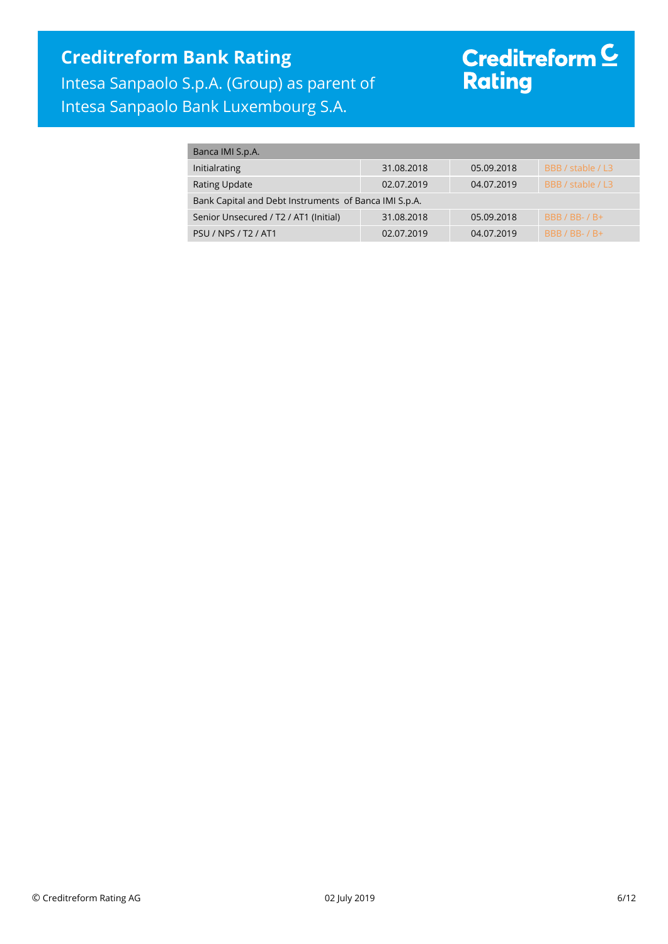# **Creditreform Bank Rating**

Intesa Sanpaolo S.p.A. (Group) as parent of Intesa Sanpaolo Bank Luxembourg S.A.

# Creditreform <sup>C</sup><br>Rating

| Banca IMI S.p.A.                                      |            |            |                    |
|-------------------------------------------------------|------------|------------|--------------------|
| Initialrating                                         | 31.08.2018 | 05.09.2018 | BBB / stable / L3  |
| <b>Rating Update</b>                                  | 02.07.2019 | 04.07.2019 | BBB / stable / L3  |
| Bank Capital and Debt Instruments of Banca IMI S.p.A. |            |            |                    |
| Senior Unsecured / T2 / AT1 (Initial)                 | 31.08.2018 | 05.09.2018 | <b>BBB/BB-/B+</b>  |
| <b>PSU / NPS / T2 / AT1</b>                           | 02.07.2019 | 04.07.2019 | $BBB / BB - / B +$ |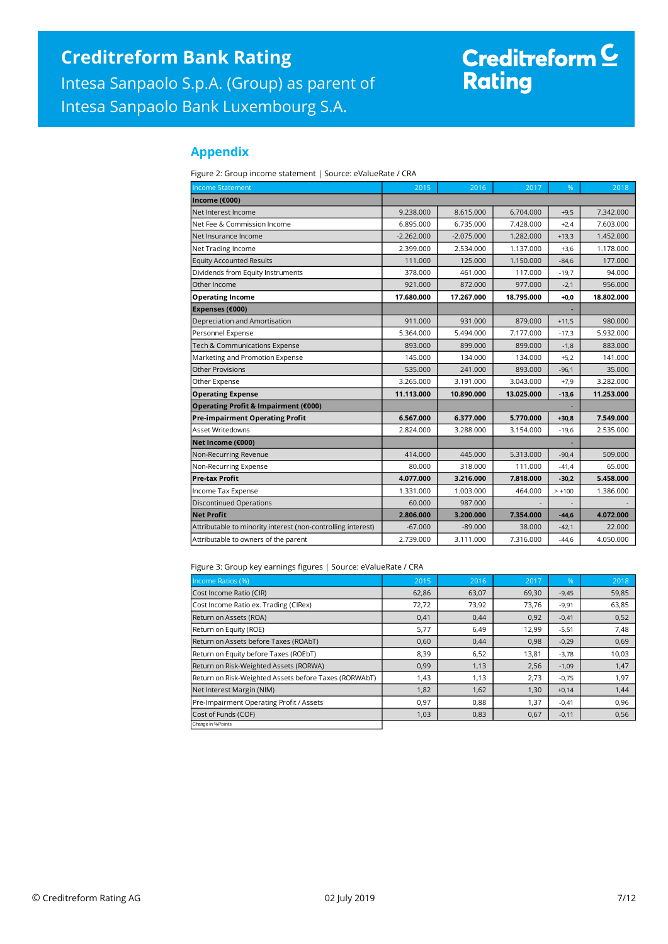# Creditreform <mark>C</mark><br>Rating

# **Appendix**

Figure 2: Group income statement | Source: eValueRate / CRA

| <b>Income Statement</b>                                      | 2015         | 2016         | 2017       | %        | 2018       |
|--------------------------------------------------------------|--------------|--------------|------------|----------|------------|
| Income (€000)                                                |              |              |            |          |            |
| Net Interest Income                                          | 9.238.000    | 8.615.000    | 6.704.000  | $+9,5$   | 7.342.000  |
| Net Fee & Commission Income                                  | 6.895.000    | 6.735.000    | 7.428.000  | $+2.4$   | 7.603.000  |
| Net Insurance Income                                         | $-2.262.000$ | $-2.075.000$ | 1.282.000  | $+13,3$  | 1.452.000  |
| Net Trading Income                                           | 2.399.000    | 2.534.000    | 1.137.000  | $+3,6$   | 1.178.000  |
| <b>Equity Accounted Results</b>                              | 111.000      | 125.000      | 1.150.000  | $-84,6$  | 177.000    |
| Dividends from Equity Instruments                            | 378,000      | 461.000      | 117.000    | $-19.7$  | 94.000     |
| Other Income                                                 | 921.000      | 872.000      | 977.000    | $-2,1$   | 956.000    |
| <b>Operating Income</b>                                      | 17.680.000   | 17.267.000   | 18.795.000 | $+0,0$   | 18.802.000 |
| Expenses (€000)                                              |              |              |            |          |            |
| Depreciation and Amortisation                                | 911.000      | 931.000      | 879.000    | $+11,5$  | 980.000    |
| Personnel Expense                                            | 5.364.000    | 5.494.000    | 7.177.000  | $-17,3$  | 5.932.000  |
| Tech & Communications Expense                                | 893.000      | 899,000      | 899.000    | $-1,8$   | 883,000    |
| Marketing and Promotion Expense                              | 145.000      | 134.000      | 134.000    | $+5,2$   | 141.000    |
| <b>Other Provisions</b>                                      | 535.000      | 241.000      | 893.000    | $-96,1$  | 35.000     |
| Other Expense                                                | 3.265.000    | 3.191.000    | 3.043.000  | $+7,9$   | 3.282.000  |
| <b>Operating Expense</b>                                     | 11.113.000   | 10.890.000   | 13.025.000 | $-13,6$  | 11.253.000 |
| Operating Profit & Impairment (€000)                         |              |              |            |          |            |
| <b>Pre-impairment Operating Profit</b>                       | 6.567.000    | 6.377.000    | 5.770.000  | $+30,8$  | 7.549.000  |
| Asset Writedowns                                             | 2.824.000    | 3.288.000    | 3.154.000  | $-19,6$  | 2.535.000  |
| Net Income (€000)                                            |              |              |            |          |            |
| Non-Recurring Revenue                                        | 414.000      | 445.000      | 5.313.000  | $-90,4$  | 509.000    |
| Non-Recurring Expense                                        | 80.000       | 318,000      | 111.000    | $-41,4$  | 65.000     |
| <b>Pre-tax Profit</b>                                        | 4.077.000    | 3.216.000    | 7.818.000  | $-30,2$  | 5.458.000  |
| Income Tax Expense                                           | 1.331.000    | 1.003.000    | 464.000    | $> +100$ | 1.386.000  |
| <b>Discontinued Operations</b>                               | 60.000       | 987.000      |            |          |            |
| <b>Net Profit</b>                                            | 2.806.000    | 3.200.000    | 7.354.000  | $-44,6$  | 4.072.000  |
| Attributable to minority interest (non-controlling interest) | $-67.000$    | $-89.000$    | 38.000     | $-42,1$  | 22.000     |
| Attributable to owners of the parent                         | 2.739.000    | 3.111.000    | 7.316.000  | $-44,6$  | 4.050.000  |

Figure 3: Group key earnings figures | Source: eValueRate / CRA

| Income Ratios (%)                                     | 2015  | 2016  | 2017  | %       | 2018  |
|-------------------------------------------------------|-------|-------|-------|---------|-------|
| Cost Income Ratio (CIR)                               | 62,86 | 63,07 | 69,30 | $-9,45$ | 59,85 |
| Cost Income Ratio ex. Trading (CIRex)                 | 72,72 | 73,92 | 73,76 | $-9,91$ | 63,85 |
| Return on Assets (ROA)                                | 0,41  | 0,44  | 0,92  | $-0,41$ | 0,52  |
| Return on Equity (ROE)                                | 5,77  | 6,49  | 12,99 | $-5,51$ | 7,48  |
| Return on Assets before Taxes (ROAbT)                 | 0,60  | 0.44  | 0,98  | $-0,29$ | 0,69  |
| Return on Equity before Taxes (ROEbT)                 | 8,39  | 6,52  | 13,81 | $-3,78$ | 10,03 |
| Return on Risk-Weighted Assets (RORWA)                | 0,99  | 1,13  | 2,56  | $-1,09$ | 1,47  |
| Return on Risk-Weighted Assets before Taxes (RORWAbT) | 1,43  | 1,13  | 2.73  | $-0,75$ | 1,97  |
| Net Interest Margin (NIM)                             | 1,82  | 1,62  | 1,30  | $+0,14$ | 1,44  |
| Pre-Impairment Operating Profit / Assets              | 0,97  | 0,88  | 1,37  | $-0,41$ | 0,96  |
| Cost of Funds (COF)                                   | 1,03  | 0,83  | 0,67  | $-0,11$ | 0,56  |
| Change in % Points                                    |       |       |       |         |       |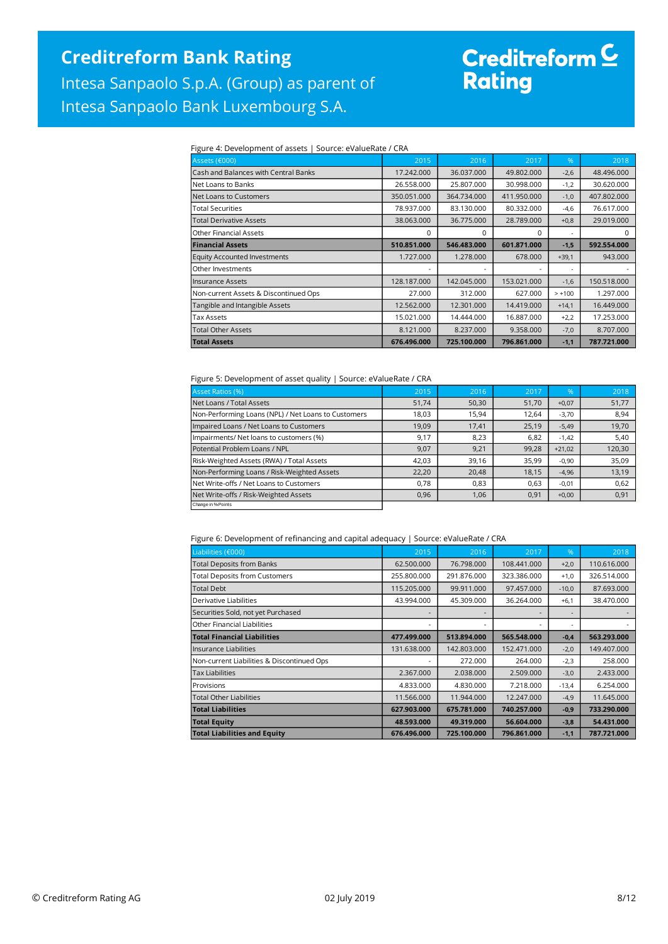# Creditreform <mark>C</mark><br>Rating

### Figure 4: Development of assets | Source: eValueRate / CRA

| Assets (€000)                         | 2015        | 2016        | 2017        | %        | 2018        |
|---------------------------------------|-------------|-------------|-------------|----------|-------------|
| Cash and Balances with Central Banks  | 17.242.000  | 36.037.000  | 49.802.000  | $-2,6$   | 48.496.000  |
| Net Loans to Banks                    | 26.558.000  | 25.807.000  | 30.998.000  | $-1,2$   | 30.620.000  |
| Net Loans to Customers                | 350.051.000 | 364.734.000 | 411.950.000 | $-1,0$   | 407.802.000 |
| <b>Total Securities</b>               | 78.937.000  | 83.130.000  | 80.332.000  | $-4,6$   | 76.617.000  |
| <b>Total Derivative Assets</b>        | 38.063.000  | 36.775.000  | 28.789.000  | $+0,8$   | 29.019.000  |
| Other Financial Assets                | $\Omega$    | $\Omega$    | 0           | ٠        | 0           |
| <b>Financial Assets</b>               | 510.851.000 | 546.483.000 | 601.871.000 | $-1,5$   | 592.554.000 |
| Equity Accounted Investments          | 1.727.000   | 1.278.000   | 678,000     | $+39,1$  | 943.000     |
| Other Investments                     |             |             |             | ۰        |             |
| <b>Insurance Assets</b>               | 128,187,000 | 142.045.000 | 153.021.000 | $-1,6$   | 150.518.000 |
| Non-current Assets & Discontinued Ops | 27.000      | 312.000     | 627.000     | $> +100$ | 1.297.000   |
| Tangible and Intangible Assets        | 12.562.000  | 12.301.000  | 14.419.000  | $+14,1$  | 16.449.000  |
| <b>Tax Assets</b>                     | 15.021.000  | 14.444.000  | 16.887.000  | $+2,2$   | 17.253.000  |
| <b>Total Other Assets</b>             | 8.121.000   | 8.237.000   | 9.358.000   | $-7,0$   | 8.707.000   |
| <b>Total Assets</b>                   | 676.496.000 | 725.100.000 | 796.861.000 | $-1,1$   | 787.721.000 |

#### Figure 5: Development of asset quality | Source: eValueRate / CRA

| - -                                                 |       |       |       |          |        |
|-----------------------------------------------------|-------|-------|-------|----------|--------|
| Asset Ratios (%)                                    | 2015  | 2016  | 2017  | $\%$     | 2018   |
| Net Loans / Total Assets                            | 51.74 | 50,30 | 51,70 | $+0.07$  | 51,77  |
| Non-Performing Loans (NPL) / Net Loans to Customers | 18,03 | 15.94 | 12.64 | $-3,70$  | 8,94   |
| Impaired Loans / Net Loans to Customers             | 19.09 | 17.41 | 25,19 | $-5,49$  | 19,70  |
| Impairments/ Net loans to customers (%)             | 9,17  | 8,23  | 6,82  | $-1,42$  | 5,40   |
| Potential Problem Loans / NPL                       | 9,07  | 9,21  | 99,28 | $+21,02$ | 120,30 |
| Risk-Weighted Assets (RWA) / Total Assets           | 42,03 | 39,16 | 35,99 | $-0,90$  | 35,09  |
| Non-Performing Loans / Risk-Weighted Assets         | 22,20 | 20,48 | 18,15 | $-4,96$  | 13,19  |
| Net Write-offs / Net Loans to Customers             | 0,78  | 0,83  | 0,63  | $-0,01$  | 0,62   |
| Net Write-offs / Risk-Weighted Assets               | 0,96  | 1,06  | 0,91  | $+0,00$  | 0,91   |
| Change in % Points                                  |       |       |       |          |        |

#### Figure 6: Development of refinancing and capital adequacy | Source: eValueRate / CRA

| Liabilities (€000)                         | 2015                     | 2016        | 2017        | %                        | 2018        |
|--------------------------------------------|--------------------------|-------------|-------------|--------------------------|-------------|
| <b>Total Deposits from Banks</b>           | 62.500.000               | 76.798.000  | 108.441.000 | $+2,0$                   | 110.616.000 |
| <b>Total Deposits from Customers</b>       | 255.800.000              | 291.876.000 | 323.386.000 | $+1,0$                   | 326.514.000 |
| <b>Total Debt</b>                          | 115.205.000              | 99.911.000  | 97.457.000  | $-10,0$                  | 87.693.000  |
| Derivative Liabilities                     | 43.994.000               | 45.309.000  | 36.264.000  | $+6,1$                   | 38.470.000  |
| Securities Sold, not yet Purchased         | $\overline{\phantom{a}}$ |             |             | $\overline{\phantom{a}}$ |             |
| Other Financial Liabilities                | $\overline{\phantom{a}}$ | ۰           |             | ٠                        |             |
| <b>Total Financial Liabilities</b>         | 477.499.000              | 513.894.000 | 565.548.000 | $-0,4$                   | 563.293.000 |
| Insurance Liabilities                      | 131.638.000              | 142.803.000 | 152.471.000 | $-2,0$                   | 149.407.000 |
| Non-current Liabilities & Discontinued Ops | ٠                        | 272.000     | 264.000     | $-2,3$                   | 258.000     |
| <b>Tax Liabilities</b>                     | 2.367.000                | 2.038.000   | 2.509.000   | $-3,0$                   | 2.433.000   |
| Provisions                                 | 4.833.000                | 4.830.000   | 7.218.000   | $-13,4$                  | 6.254.000   |
| <b>Total Other Liabilities</b>             | 11.566.000               | 11.944.000  | 12.247.000  | $-4,9$                   | 11.645.000  |
| <b>Total Liabilities</b>                   | 627.903.000              | 675.781.000 | 740.257.000 | $-0,9$                   | 733.290.000 |
| <b>Total Equity</b>                        | 48.593.000               | 49.319.000  | 56.604.000  | $-3,8$                   | 54.431.000  |
| <b>Total Liabilities and Equity</b>        | 676.496.000              | 725.100.000 | 796.861.000 | $-1,1$                   | 787.721.000 |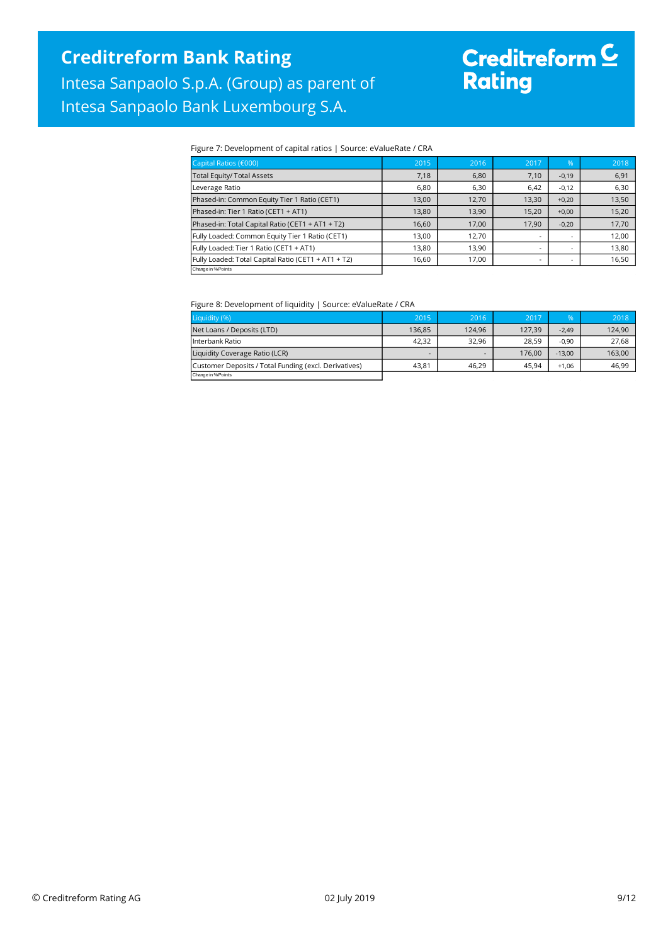# Creditreform <mark>C</mark><br>Rating

### Figure 7: Development of capital ratios | Source: eValueRate / CRA

| Capital Ratios (€000)                               | 2015  | 2016  | 2017  | $\%$                     | 2018  |
|-----------------------------------------------------|-------|-------|-------|--------------------------|-------|
| <b>Total Equity/ Total Assets</b>                   | 7,18  | 6,80  | 7,10  | $-0,19$                  | 6,91  |
| Leverage Ratio                                      | 6,80  | 6,30  | 6,42  | $-0,12$                  | 6,30  |
| Phased-in: Common Equity Tier 1 Ratio (CET1)        | 13,00 | 12,70 | 13,30 | $+0,20$                  | 13,50 |
| Phased-in: Tier 1 Ratio (CET1 + AT1)                | 13,80 | 13,90 | 15,20 | $+0.00$                  | 15,20 |
| Phased-in: Total Capital Ratio (CET1 + AT1 + T2)    | 16,60 | 17,00 | 17,90 | $-0.20$                  | 17,70 |
| Fully Loaded: Common Equity Tier 1 Ratio (CET1)     | 13,00 | 12,70 |       | ۰                        | 12,00 |
| Fully Loaded: Tier 1 Ratio (CET1 + AT1)             | 13,80 | 13,90 | -     | $\overline{\phantom{a}}$ | 13,80 |
| Fully Loaded: Total Capital Ratio (CET1 + AT1 + T2) | 16,60 | 17,00 |       | $\overline{\phantom{a}}$ | 16,50 |
| Change in % Points                                  |       |       |       |                          |       |

#### Figure 8: Development of liquidity | Source: eValueRate / CRA

| Liquidity (%)                                         | 2015   | 2016   | 2017   | $\%$     | 2018   |
|-------------------------------------------------------|--------|--------|--------|----------|--------|
| Net Loans / Deposits (LTD)                            | 136.85 | 124.96 | 127.39 | $-2.49$  | 124.90 |
| Interbank Ratio                                       | 42.32  | 32.96  | 28.59  | $-0.90$  | 27.68  |
| Liquidity Coverage Ratio (LCR)                        | -      |        | 176.00 | $-13.00$ | 163,00 |
| Customer Deposits / Total Funding (excl. Derivatives) | 43.81  | 46.29  | 45.94  | $+1.06$  | 46,99  |
| Change in % Points                                    |        |        |        |          |        |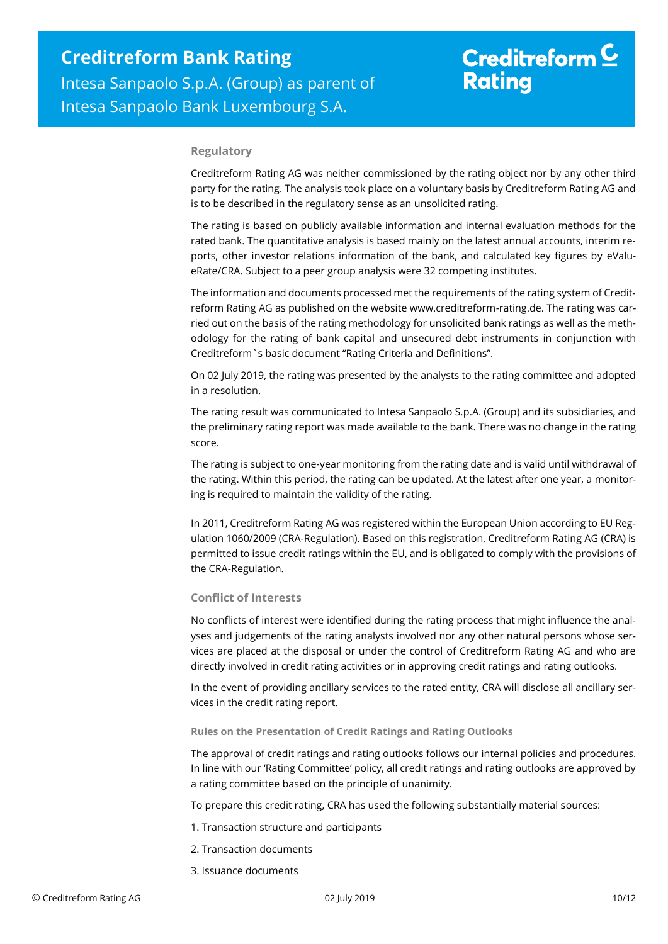## **Regulatory**

Creditreform Rating AG was neither commissioned by the rating object nor by any other third party for the rating. The analysis took place on a voluntary basis by Creditreform Rating AG and is to be described in the regulatory sense as an unsolicited rating.

The rating is based on publicly available information and internal evaluation methods for the rated bank. The quantitative analysis is based mainly on the latest annual accounts, interim reports, other investor relations information of the bank, and calculated key figures by eValueRate/CRA. Subject to a peer group analysis were 32 competing institutes.

The information and documents processed met the requirements of the rating system of Creditreform Rating AG as published on the website www.creditreform-rating.de. The rating was carried out on the basis of the rating methodology for unsolicited bank ratings as well as the methodology for the rating of bank capital and unsecured debt instruments in conjunction with Creditreform`s basic document "Rating Criteria and Definitions".

On 02 July 2019, the rating was presented by the analysts to the rating committee and adopted in a resolution.

The rating result was communicated to Intesa Sanpaolo S.p.A. (Group) and its subsidiaries, and the preliminary rating report was made available to the bank. There was no change in the rating score.

The rating is subject to one-year monitoring from the rating date and is valid until withdrawal of the rating. Within this period, the rating can be updated. At the latest after one year, a monitoring is required to maintain the validity of the rating.

In 2011, Creditreform Rating AG was registered within the European Union according to EU Regulation 1060/2009 (CRA-Regulation). Based on this registration, Creditreform Rating AG (CRA) is permitted to issue credit ratings within the EU, and is obligated to comply with the provisions of the CRA-Regulation.

### **Conflict of Interests**

No conflicts of interest were identified during the rating process that might influence the analyses and judgements of the rating analysts involved nor any other natural persons whose services are placed at the disposal or under the control of Creditreform Rating AG and who are directly involved in credit rating activities or in approving credit ratings and rating outlooks.

In the event of providing ancillary services to the rated entity, CRA will disclose all ancillary services in the credit rating report.

### **Rules on the Presentation of Credit Ratings and Rating Outlooks**

The approval of credit ratings and rating outlooks follows our internal policies and procedures. In line with our 'Rating Committee' policy, all credit ratings and rating outlooks are approved by a rating committee based on the principle of unanimity.

To prepare this credit rating, CRA has used the following substantially material sources:

- 1. Transaction structure and participants
- 2. Transaction documents
- 3. Issuance documents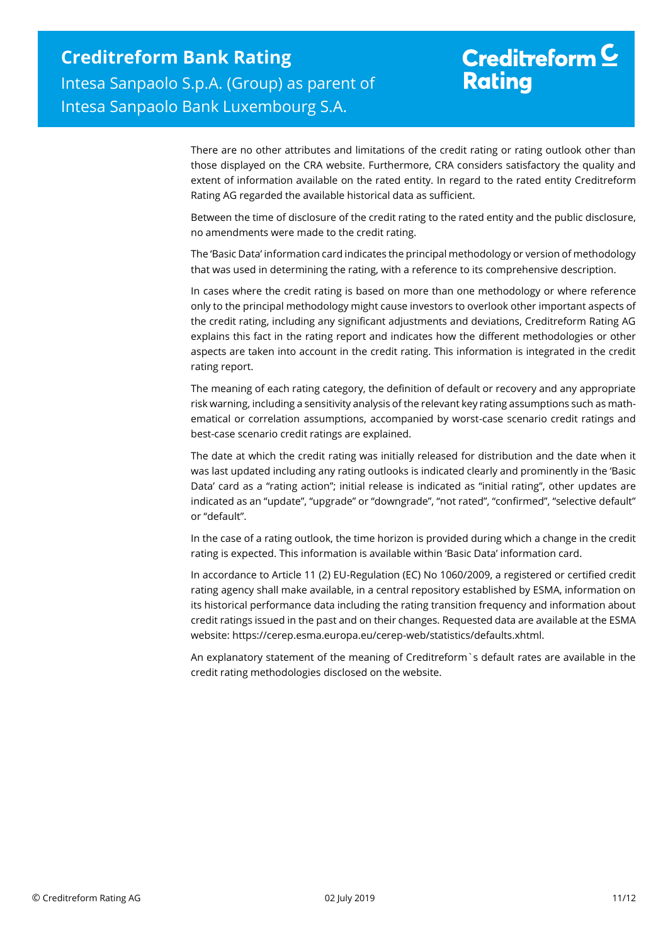There are no other attributes and limitations of the credit rating or rating outlook other than those displayed on the CRA website. Furthermore, CRA considers satisfactory the quality and extent of information available on the rated entity. In regard to the rated entity Creditreform Rating AG regarded the available historical data as sufficient.

Between the time of disclosure of the credit rating to the rated entity and the public disclosure, no amendments were made to the credit rating.

The 'Basic Data' information card indicates the principal methodology or version of methodology that was used in determining the rating, with a reference to its comprehensive description.

In cases where the credit rating is based on more than one methodology or where reference only to the principal methodology might cause investors to overlook other important aspects of the credit rating, including any significant adjustments and deviations, Creditreform Rating AG explains this fact in the rating report and indicates how the different methodologies or other aspects are taken into account in the credit rating. This information is integrated in the credit rating report.

The meaning of each rating category, the definition of default or recovery and any appropriate risk warning, including a sensitivity analysis of the relevant key rating assumptions such as mathematical or correlation assumptions, accompanied by worst-case scenario credit ratings and best-case scenario credit ratings are explained.

The date at which the credit rating was initially released for distribution and the date when it was last updated including any rating outlooks is indicated clearly and prominently in the 'Basic Data' card as a "rating action"; initial release is indicated as "initial rating", other updates are indicated as an "update", "upgrade" or "downgrade", "not rated", "confirmed", "selective default" or "default".

In the case of a rating outlook, the time horizon is provided during which a change in the credit rating is expected. This information is available within 'Basic Data' information card.

In accordance to Article 11 (2) EU-Regulation (EC) No 1060/2009, a registered or certified credit rating agency shall make available, in a central repository established by ESMA, information on its historical performance data including the rating transition frequency and information about credit ratings issued in the past and on their changes. Requested data are available at the ESMA website: https://cerep.esma.europa.eu/cerep-web/statistics/defaults.xhtml.

An explanatory statement of the meaning of Creditreform`s default rates are available in the credit rating methodologies disclosed on the website.